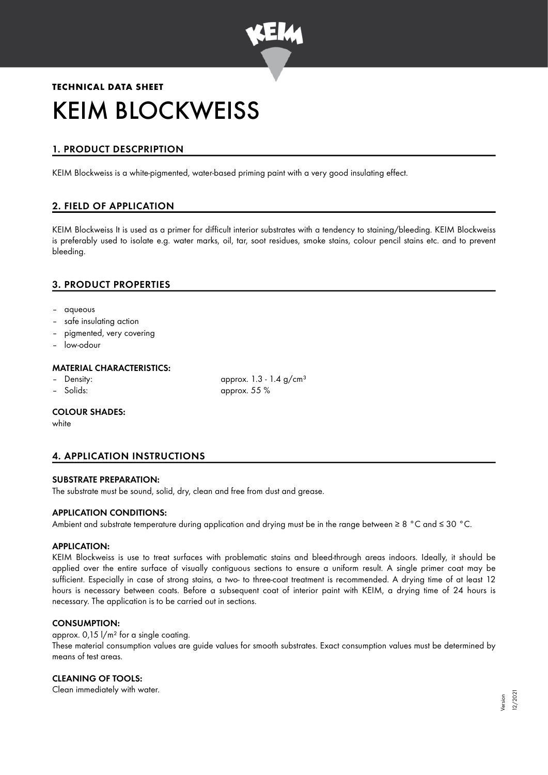

# **TECHNICAL DATA SHEET** KEIM BLOCKWEISS

# 1. PRODUCT DESCPRIPTION

KEIM Blockweiss is a white-pigmented, water-based priming paint with a very good insulating effect.

# 2. FIELD OF APPLICATION

KEIM Blockweiss It is used as a primer for difficult interior substrates with a tendency to staining/bleeding. KEIM Blockweiss is preferably used to isolate e.g. water marks, oil, tar, soot residues, smoke stains, colour pencil stains etc. and to prevent bleeding.

# 3. PRODUCT PROPERTIES

- aqueous
- safe insulating action
- pigmented, very covering
- low-odour

# MATERIAL CHARACTERISTICS:

- 
- 

– Density:  $\alpha$  approx. 1.3 - 1.4 g/cm<sup>3</sup> – Solids: approx. 55 %

#### COLOUR SHADES:

white

# 4. APPLICATION INSTRUCTIONS

#### SUBSTRATE PREPARATION:

The substrate must be sound, solid, dry, clean and free from dust and grease.

## APPLICATION CONDITIONS:

Ambient and substrate temperature during application and drying must be in the range between ≥ 8 °C and ≤ 30 °C.

#### APPLICATION:

KEIM Blockweiss is use to treat surfaces with problematic stains and bleed-through areas indoors. Ideally, it should be applied over the entire surface of visually contiguous sections to ensure a uniform result. A single primer coat may be sufficient. Especially in case of strong stains, a two- to three-coat treatment is recommended. A drying time of at least 12 hours is necessary between coats. Before a subsequent coat of interior paint with KEIM, a drying time of 24 hours is necessary. The application is to be carried out in sections.

#### CONSUMPTION:

approx.  $0,15$   $1/m^2$  for a single coating. These material consumption values are guide values for smooth substrates. Exact consumption values must be determined by means of test areas.

## CLEANING OF TOOLS:

Clean immediately with water.